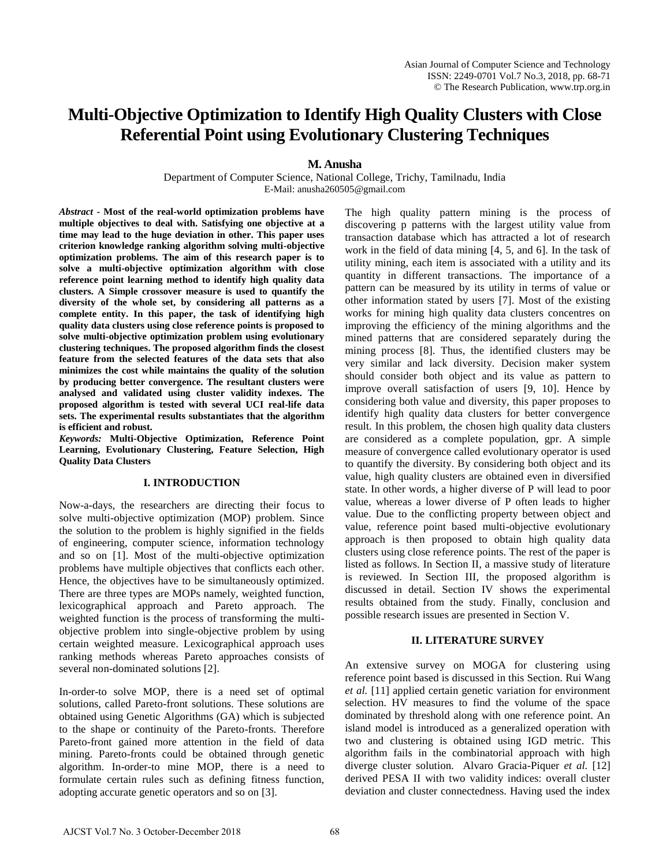# **Multi-Objective Optimization to Identify High Quality Clusters with Close Referential Point using Evolutionary Clustering Techniques**

**M. Anusha** 

Department of Computer Science, National College, Trichy, Tamilnadu, India E-Mail: anusha260505@gmail.com

*Abstract* **- Most of the real-world optimization problems have multiple objectives to deal with. Satisfying one objective at a time may lead to the huge deviation in other. This paper uses criterion knowledge ranking algorithm solving multi-objective optimization problems. The aim of this research paper is to solve a multi-objective optimization algorithm with close reference point learning method to identify high quality data clusters. A Simple crossover measure is used to quantify the diversity of the whole set, by considering all patterns as a complete entity. In this paper, the task of identifying high quality data clusters using close reference points is proposed to solve multi-objective optimization problem using evolutionary clustering techniques. The proposed algorithm finds the closest feature from the selected features of the data sets that also minimizes the cost while maintains the quality of the solution by producing better convergence. The resultant clusters were analysed and validated using cluster validity indexes. The proposed algorithm is tested with several UCI real-life data sets. The experimental results substantiates that the algorithm is efficient and robust.** 

*Keywords:* **Multi-Objective Optimization, Reference Point Learning, Evolutionary Clustering, Feature Selection, High Quality Data Clusters** 

## **I. INTRODUCTION**

Now-a-days, the researchers are directing their focus to solve multi-objective optimization (MOP) problem. Since the solution to the problem is highly signified in the fields of engineering, computer science, information technology and so on [1]. Most of the multi-objective optimization problems have multiple objectives that conflicts each other. Hence, the objectives have to be simultaneously optimized. There are three types are MOPs namely, weighted function, lexicographical approach and Pareto approach. The weighted function is the process of transforming the multiobjective problem into single-objective problem by using certain weighted measure. Lexicographical approach uses ranking methods whereas Pareto approaches consists of several non-dominated solutions [2].

In-order-to solve MOP, there is a need set of optimal solutions, called Pareto-front solutions. These solutions are obtained using Genetic Algorithms (GA) which is subjected to the shape or continuity of the Pareto-fronts. Therefore Pareto-front gained more attention in the field of data mining. Pareto-fronts could be obtained through genetic algorithm. In-order-to mine MOP, there is a need to formulate certain rules such as defining fitness function, adopting accurate genetic operators and so on [3].

The high quality pattern mining is the process of discovering p patterns with the largest utility value from transaction database which has attracted a lot of research work in the field of data mining [4, 5, and 6]. In the task of utility mining, each item is associated with a utility and its quantity in different transactions. The importance of a pattern can be measured by its utility in terms of value or other information stated by users [7]. Most of the existing works for mining high quality data clusters concentres on improving the efficiency of the mining algorithms and the mined patterns that are considered separately during the mining process [8]. Thus, the identified clusters may be very similar and lack diversity. Decision maker system should consider both object and its value as pattern to improve overall satisfaction of users [9, 10]. Hence by considering both value and diversity, this paper proposes to identify high quality data clusters for better convergence result. In this problem, the chosen high quality data clusters are considered as a complete population, gpr. A simple measure of convergence called evolutionary operator is used to quantify the diversity. By considering both object and its value, high quality clusters are obtained even in diversified state. In other words, a higher diverse of P will lead to poor value, whereas a lower diverse of P often leads to higher value. Due to the conflicting property between object and value, reference point based multi-objective evolutionary approach is then proposed to obtain high quality data clusters using close reference points. The rest of the paper is listed as follows. In Section II, a massive study of literature is reviewed. In Section III, the proposed algorithm is discussed in detail. Section IV shows the experimental results obtained from the study. Finally, conclusion and possible research issues are presented in Section V.

## **II. LITERATURE SURVEY**

An extensive survey on MOGA for clustering using reference point based is discussed in this Section. Rui Wang *et al.* [11] applied certain genetic variation for environment selection. HV measures to find the volume of the space dominated by threshold along with one reference point. An island model is introduced as a generalized operation with two and clustering is obtained using IGD metric. This algorithm fails in the combinatorial approach with high diverge cluster solution. Alvaro Gracia-Piquer *et al.* [12] derived PESA II with two validity indices: overall cluster deviation and cluster connectedness. Having used the index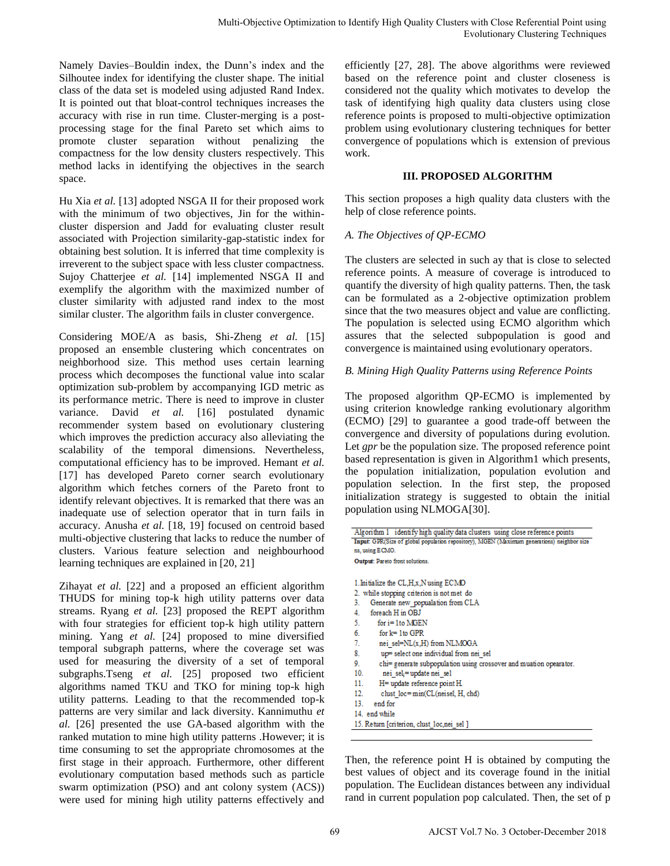Namely Davies–Bouldin index, the Dunn's index and the Silhoutee index for identifying the cluster shape. The initial class of the data set is modeled using adjusted Rand Index. It is pointed out that bloat-control techniques increases the accuracy with rise in run time. Cluster-merging is a postprocessing stage for the final Pareto set which aims to promote cluster separation without penalizing the compactness for the low density clusters respectively. This method lacks in identifying the objectives in the search space.

Hu Xia *et al.* [13] adopted NSGA II for their proposed work with the minimum of two objectives, Jin for the withincluster dispersion and Jadd for evaluating cluster result associated with Projection similarity-gap-statistic index for obtaining best solution. It is inferred that time complexity is irreverent to the subject space with less cluster compactness. Sujoy Chatterjee et al. [14] implemented NSGA II and exemplify the algorithm with the maximized number of cluster similarity with adjusted rand index to the most similar cluster. The algorithm fails in cluster convergence.

Considering MOE/A as basis, Shi-Zheng *et al.* [15] proposed an ensemble clustering which concentrates on neighborhood size. This method uses certain learning process which decomposes the functional value into scalar optimization sub-problem by accompanying IGD metric as its performance metric. There is need to improve in cluster variance. David *et al.* [16] postulated dynamic recommender system based on evolutionary clustering which improves the prediction accuracy also alleviating the scalability of the temporal dimensions. Nevertheless, computational efficiency has to be improved. Hemant *et al.*  [17] has developed Pareto corner search evolutionary algorithm which fetches corners of the Pareto front to identify relevant objectives. It is remarked that there was an inadequate use of selection operator that in turn fails in accuracy. Anusha *et al.* [18, 19] focused on centroid based multi-objective clustering that lacks to reduce the number of clusters. Various feature selection and neighbourhood learning techniques are explained in [20, 21]

Zihayat *et al.* [22] and a proposed an efficient algorithm THUDS for mining top-k high utility patterns over data streams. Ryang *et al.* [23] proposed the REPT algorithm with four strategies for efficient top-k high utility pattern mining. Yang *et al.* [24] proposed to mine diversified temporal subgraph patterns, where the coverage set was used for measuring the diversity of a set of temporal subgraphs.Tseng *et al.* [25] proposed two efficient algorithms named TKU and TKO for mining top-k high utility patterns. Leading to that the recommended top-k patterns are very similar and lack diversity. Kannimuthu *et al.* [26] presented the use GA-based algorithm with the ranked mutation to mine high utility patterns .However; it is time consuming to set the appropriate chromosomes at the first stage in their approach. Furthermore, other different evolutionary computation based methods such as particle swarm optimization (PSO) and ant colony system (ACS)) were used for mining high utility patterns effectively and

# **III. PROPOSED ALGORITHM**

# *A. The Objectives of QP-ECMO*

# *B. Mining High Quality Patterns using Reference Points*

|                                                                                                                                                                                                                                                                                                                                                                                                                                                          | Multi-Objective Optimization to Identify High Quality Clusters with Close Referential Point using<br><b>Evolutionary Clustering Techniques</b>                                                                                                                                                                                                                                                                                                                                                                                                                                                                                                                                                                                                                                                        |
|----------------------------------------------------------------------------------------------------------------------------------------------------------------------------------------------------------------------------------------------------------------------------------------------------------------------------------------------------------------------------------------------------------------------------------------------------------|-------------------------------------------------------------------------------------------------------------------------------------------------------------------------------------------------------------------------------------------------------------------------------------------------------------------------------------------------------------------------------------------------------------------------------------------------------------------------------------------------------------------------------------------------------------------------------------------------------------------------------------------------------------------------------------------------------------------------------------------------------------------------------------------------------|
| : Dunn's index and the<br>cluster shape. The initial<br>ng adjusted Rand Index.<br>techniques increases the<br>ister-merging is a post-<br>eto set which aims to<br>thout penalizing the<br>usters respectively. This<br>bjectives in the search                                                                                                                                                                                                         | efficiently [27, 28]. The above algorithms were reviewed<br>based on the reference point and cluster closeness is<br>considered not the quality which motivates to develop the<br>task of identifying high quality data clusters using close<br>reference points is proposed to multi-objective optimization<br>problem using evolutionary clustering techniques for better<br>convergence of populations which is extension of previous<br>work.<br><b>III. PROPOSED ALGORITHM</b>                                                                                                                                                                                                                                                                                                                   |
|                                                                                                                                                                                                                                                                                                                                                                                                                                                          | This section proposes a high quality data clusters with the                                                                                                                                                                                                                                                                                                                                                                                                                                                                                                                                                                                                                                                                                                                                           |
| for their proposed work<br>ves, Jin for the within-                                                                                                                                                                                                                                                                                                                                                                                                      | help of close reference points.                                                                                                                                                                                                                                                                                                                                                                                                                                                                                                                                                                                                                                                                                                                                                                       |
| valuating cluster result<br>y-gap-statistic index for                                                                                                                                                                                                                                                                                                                                                                                                    | A. The Objectives of QP-ECMO                                                                                                                                                                                                                                                                                                                                                                                                                                                                                                                                                                                                                                                                                                                                                                          |
| I that time complexity is<br>ess cluster compactness.<br>emented NSGA II and<br>maximized number of<br>and index to the most<br>n cluster convergence.<br>Shi-Zheng et al. [15]                                                                                                                                                                                                                                                                          | The clusters are selected in such ay that is close to selected<br>reference points. A measure of coverage is introduced to<br>quantify the diversity of high quality patterns. Then, the task<br>can be formulated as a 2-objective optimization problem<br>since that the two measures object and value are conflicting<br>The population is selected using ECMO algorithm which<br>assures that the selected subpopulation is good and                                                                                                                                                                                                                                                                                                                                                              |
| which concentrates on                                                                                                                                                                                                                                                                                                                                                                                                                                    | convergence is maintained using evolutionary operators.                                                                                                                                                                                                                                                                                                                                                                                                                                                                                                                                                                                                                                                                                                                                               |
| uses certain learning<br>ctional value into scalar                                                                                                                                                                                                                                                                                                                                                                                                       | B. Mining High Quality Patterns using Reference Points                                                                                                                                                                                                                                                                                                                                                                                                                                                                                                                                                                                                                                                                                                                                                |
| apanying IGD metric as<br>ed to improve in cluster<br>postulated<br>dynamic<br>evolutionary clustering<br>racy also alleviating the                                                                                                                                                                                                                                                                                                                      | The proposed algorithm QP-ECMO is implemented by<br>using criterion knowledge ranking evolutionary algorithm<br>(ECMO) [29] to guarantee a good trade-off between the<br>convergence and diversity of populations during evolution.                                                                                                                                                                                                                                                                                                                                                                                                                                                                                                                                                                   |
| nensions. Nevertheless,<br>mproved. Hemant et al.<br>er search evolutionary<br>of the Pareto front to<br>narked that there was an<br>or that in turn fails in                                                                                                                                                                                                                                                                                            | Let gpr be the population size. The proposed reference point<br>based representation is given in Algorithm1 which presents.<br>the population initialization, population evolution and<br>population selection. In the first step, the proposed<br>initialization strategy is suggested to obtain the initial<br>population using NLMOGA[30].                                                                                                                                                                                                                                                                                                                                                                                                                                                         |
| cused on centroid based<br>to reduce the number of<br>on and neighbourhood<br>[20, 21]                                                                                                                                                                                                                                                                                                                                                                   | Algorithm 1 identify high quality data clusters using close reference points<br>Input: GPR(Size of global population repository), MGEN (Maximum generations) neighbor size<br>ns, using ECMO.<br>Output: Pareto front solutions.                                                                                                                                                                                                                                                                                                                                                                                                                                                                                                                                                                      |
| I an efficient algorithm<br>ility patterns over data<br>ed the REPT algorithm<br>p-k high utility pattern<br>ed to mine diversified<br>the coverage set was<br>of a set of temporal<br>roposed two efficient<br>for mining top-k high<br>he recommended top-k<br>iversity. Kannimuthu et<br>sed algorithm with the<br>patterns . However; it is<br>ate chromosomes at the<br>nermore, other different<br>ethods such as particle<br>colony system (ACS)) | 1. Initialize the CL, H, x, N using ECMO<br>2. while stopping criterion is not met do<br>3.<br>Generate new popualation from CLA<br>4.<br>foreach H in OBJ<br>5.<br>for i=1to MGEN<br>6.<br>for $k = 1$ to GPR<br>7.<br>nei sel= $NL(x,H)$ from $NLMOGA$<br>8.<br>up= select one individual from nei_sel<br>9.<br>chi= generate subpopulation using crossover and muation opearator.<br>10.<br>$nei$ sel <sub>i</sub> = update nei sel<br>11.<br>H= update reference point H<br>12.<br>clust $loc = min(CL(neisel, H, chd)$<br>13.<br>end for<br>14. end while<br>15. Return [criterion, clust_loc,nei_sel ]<br>Then, the reference point H is obtained by computing the<br>best values of object and its coverage found in the initial<br>population. The Euclidean distances between any individual |
| patterns effectively and                                                                                                                                                                                                                                                                                                                                                                                                                                 | rand in current population pop calculated. Then, the set of p                                                                                                                                                                                                                                                                                                                                                                                                                                                                                                                                                                                                                                                                                                                                         |
|                                                                                                                                                                                                                                                                                                                                                                                                                                                          | 69<br>AJCST Vol.7 No. 3 October-December 2018                                                                                                                                                                                                                                                                                                                                                                                                                                                                                                                                                                                                                                                                                                                                                         |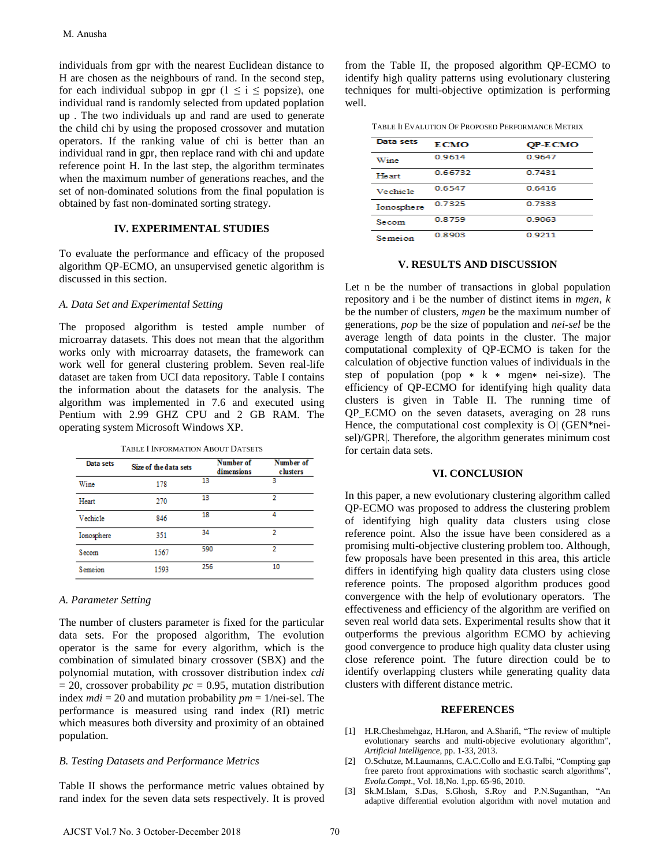individuals from gpr with the nearest Euclidean distance to H are chosen as the neighbours of rand. In the second step, for each individual subpop in gpr ( $1 \le i \le$  popsize), one individual rand is randomly selected from updated poplation up . The two individuals up and rand are used to generate the child chi by using the proposed crossover and mutation operators. If the ranking value of chi is better than an individual rand in gpr, then replace rand with chi and update reference point H. In the last step, the algorithm terminates when the maximum number of generations reaches, and the set of non-dominated solutions from the final population is obtained by fast non-dominated sorting strategy. M. Anusha<br>
M. Anusha<br>
dividuals from gpr with the nearest Euclidean distance to<br>
dividuals any endown as the meighbours of rand. In the second step,<br>
or each individual subpop th gpr (1  $\leq$  i  $\leq$  190 M3262), one<br>
or e

## **IV. EXPERIMENTAL STUDIES**

To evaluate the performance and efficacy of the proposed algorithm QP-ECMO, an unsupervised genetic algorithm is discussed in this section.

## *A. Data Set and Experimental Setting*

The proposed algorithm is tested ample number of microarray datasets. This does not mean that the algorithm works only with microarray datasets, the framework can work well for general clustering problem. Seven real-life dataset are taken from UCI data repository. Table I contains the information about the datasets for the analysis. The algorithm was implemented in 7.6 and executed using Pentium with 2.99 GHZ CPU and 2 GB RAM. The operating system Microsoft Windows XP.

|  | TABLE I INFORMATION ABOUT DATSETS |
|--|-----------------------------------|
|--|-----------------------------------|

| Data sets  | Size of the data sets | Number of<br>dimensions | Number of<br><b>c</b> lusters |
|------------|-----------------------|-------------------------|-------------------------------|
| Wine       | 178                   | 13                      | 3                             |
| Heart      | 270                   | 13                      | 2                             |
| Vechicle   | 846                   | 18                      | 4                             |
| Ionosphere | 351                   | 34                      | 2                             |
| Secom      | 1567                  | 590                     | 2                             |
| Semeion    | 1593                  | 256                     | 10                            |

#### *A. Parameter Setting*

The number of clusters parameter is fixed for the particular data sets. For the proposed algorithm, The evolution operator is the same for every algorithm, which is the combination of simulated binary crossover (SBX) and the polynomial mutation, with crossover distribution index *cdi*  $= 20$ , crossover probability  $pc = 0.95$ , mutation distribution index *mdi* = 20 and mutation probability *pm* = 1/nei-sel. The performance is measured using rand index (RI) metric which measures both diversity and proximity of an obtained population.

#### *B. Testing Datasets and Performance Metrics*

Table II shows the performance metric values obtained by rand index for the seven data sets respectively. It is proved from the Table II, the proposed algorithm QP-ECMO to identify high quality patterns using evolutionary clustering techniques for multi-objective optimization is performing well.

| Data sets  | <b>ECMO</b> | QP-ECMO |
|------------|-------------|---------|
| Wine       | 0.9614      | 0.9647  |
| Heart      | 0.66732     | 0.7431  |
| Vechicle   | 0.6547      | 0.6416  |
| Ionosphere | 0.7325      | 0.7333  |
| Secom      | 0.8759      | 0.9063  |
| Semeion    | 0.8903      | 0.9211  |

## **V. RESULTS AND DISCUSSION**

Let n be the number of transactions in global population repository and i be the number of distinct items in *mgen*, *k* be the number of clusters, *mgen* be the maximum number of generations, *pop* be the size of population and *nei-sel* be the average length of data points in the cluster. The major computational complexity of QP-ECMO is taken for the calculation of objective function values of individuals in the step of population (pop ∗ k ∗ mgen∗ nei-size). The efficiency of QP-ECMO for identifying high quality data clusters is given in Table II. The running time of QP\_ECMO on the seven datasets, averaging on 28 runs Hence, the computational cost complexity is O| (GEN\*neisel)/GPR|. Therefore, the algorithm generates minimum cost for certain data sets.

#### **VI. CONCLUSION**

In this paper, a new evolutionary clustering algorithm called QP-ECMO was proposed to address the clustering problem of identifying high quality data clusters using close reference point. Also the issue have been considered as a promising multi-objective clustering problem too. Although, few proposals have been presented in this area, this article differs in identifying high quality data clusters using close reference points. The proposed algorithm produces good convergence with the help of evolutionary operators. The effectiveness and efficiency of the algorithm are verified on seven real world data sets. Experimental results show that it outperforms the previous algorithm ECMO by achieving good convergence to produce high quality data cluster using close reference point. The future direction could be to identify overlapping clusters while generating quality data clusters with different distance metric.

#### **REFERENCES**

- [1] H.R.Cheshmehgaz, H.Haron, and A.Sharifi, "The review of multiple evolutionary searchs and multi-objecive evolutionary algorithm", *Artificial Intelligence*, pp. 1-33, 2013.
- [2] O.Schutze, M.Laumanns, C.A.C.Collo and E.G.Talbi, "Compting gap free pareto front approximations with stochastic search algorithms", *Evolu.Compt*., Vol. 18,No. 1,pp. 65-96, 2010.
- [3] Sk.M.Islam, S.Das, S.Ghosh, S.Roy and P.N.Suganthan, "An adaptive differential evolution algorithm with novel mutation and